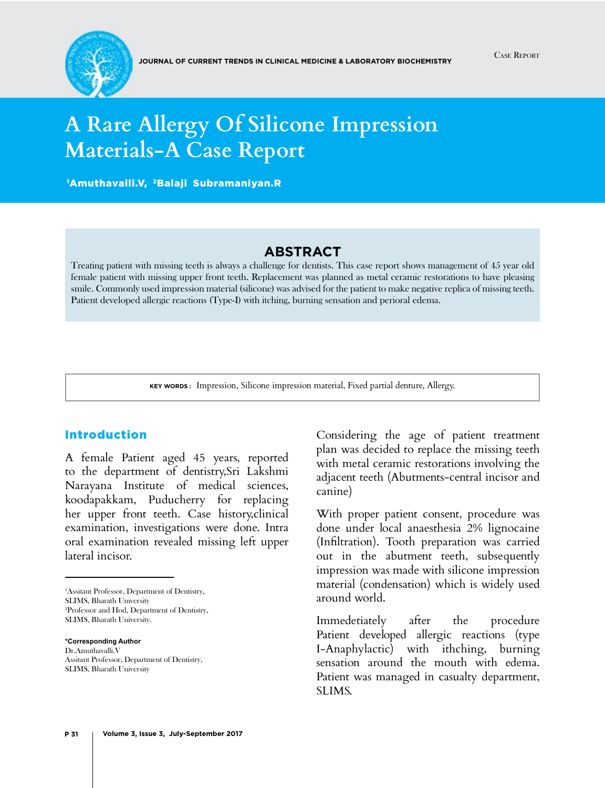

# **A Rare Allergy Of Silicone Impression Materials-A Case Report**

1 Amuthavalli.V, 2Balaji Subramaniyan.R

## **Abstract**

Treating patient with missing teeth is always a challenge for dentists. This case report shows management of 45 year old female patient with missing upper front teeth. Replacement was planned as metal ceramic restorations to have pleasing smile. Commonly used impression material (silicone) was advised for the patient to make negative replica of missing teeth. Patient developed allergic reactions (Type-I) with itching, burning sensation and perioral edema.

**Key words :** Impression, Silicone impression material, Fixed partial denture, Allergy.

## Introduction

A female Patient aged 45 years, reported to the department of dentistry,Sri Lakshmi Narayana Institute of medical sciences, koodapakkam, Puducherry for replacing her upper front teeth. Case history,clinical examination, investigations were done. Intra oral examination revealed missing left upper lateral incisor.

1 Assitant Professor, Department of Dentistry, SLIMS, Bharath University 2 Professor and Hod, Department of Dentistry, SLIMS, Bharath University.

**\*Corresponding Author** Dr.Amuthavalli.V Assitant Professor, Department of Dentistry, SLIMS, Bharath University

Considering the age of patient treatment plan was decided to replace the missing teeth with metal ceramic restorations involving the adjacent teeth (Abutments-central incisor and canine)

With proper patient consent, procedure was done under local anaesthesia 2% lignocaine (Infiltration). Tooth preparation was carried out in the abutment teeth, subsequently impression was made with silicone impression material (condensation) which is widely used around world.

Immedetiately after the procedure Patient developed allergic reactions (type I-Anaphylactic) with ithching, burning sensation around the mouth with edema. Patient was managed in casualty department, SLIMS.